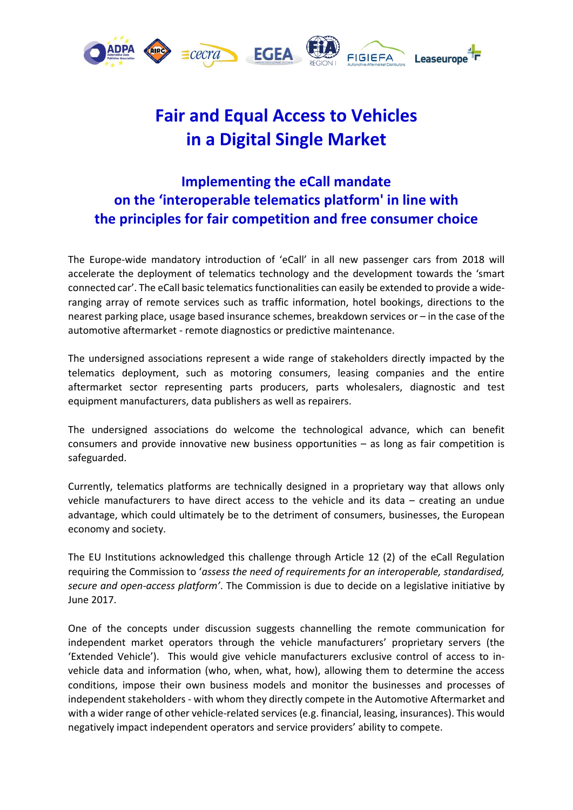

## **Fair and Equal Access to Vehicles in a Digital Single Market**

## **Implementing the eCall mandate on the 'interoperable telematics platform' in line with the principles for fair competition and free consumer choice**

The Europe-wide mandatory introduction of 'eCall' in all new passenger cars from 2018 will accelerate the deployment of telematics technology and the development towards the 'smart connected car'. The eCall basic telematics functionalities can easily be extended to provide a wideranging array of remote services such as traffic information, hotel bookings, directions to the nearest parking place, usage based insurance schemes, breakdown services or – in the case of the automotive aftermarket - remote diagnostics or predictive maintenance.

The undersigned associations represent a wide range of stakeholders directly impacted by the telematics deployment, such as motoring consumers, leasing companies and the entire aftermarket sector representing parts producers, parts wholesalers, diagnostic and test equipment manufacturers, data publishers as well as repairers.

The undersigned associations do welcome the technological advance, which can benefit consumers and provide innovative new business opportunities – as long as fair competition is safeguarded.

Currently, telematics platforms are technically designed in a proprietary way that allows only vehicle manufacturers to have direct access to the vehicle and its data – creating an undue advantage, which could ultimately be to the detriment of consumers, businesses, the European economy and society.

The EU Institutions acknowledged this challenge through Article 12 (2) of the eCall Regulation requiring the Commission to '*assess the need of requirements for an interoperable, standardised, secure and open-access platform'*. The Commission is due to decide on a legislative initiative by June 2017.

One of the concepts under discussion suggests channelling the remote communication for independent market operators through the vehicle manufacturers' proprietary servers (the 'Extended Vehicle'). This would give vehicle manufacturers exclusive control of access to invehicle data and information (who, when, what, how), allowing them to determine the access conditions, impose their own business models and monitor the businesses and processes of independent stakeholders - with whom they directly compete in the Automotive Aftermarket and with a wider range of other vehicle-related services (e.g. financial, leasing, insurances). This would negatively impact independent operators and service providers' ability to compete.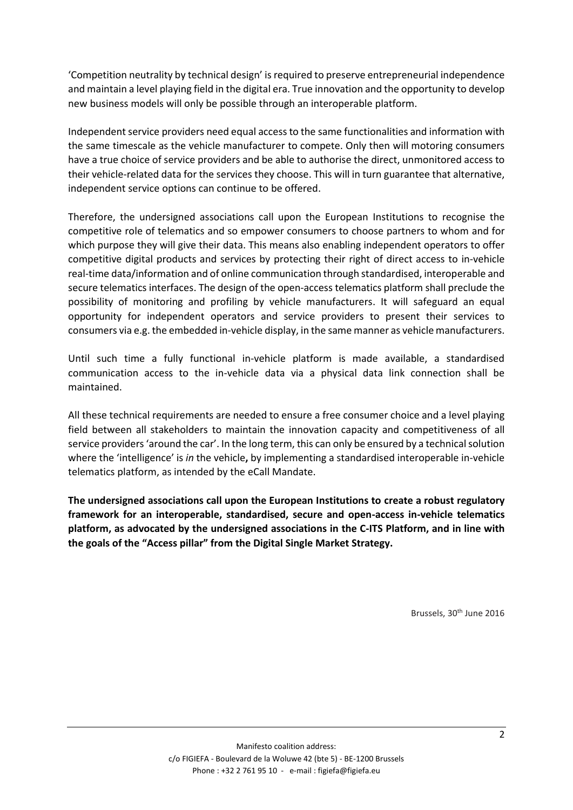'Competition neutrality by technical design' is required to preserve entrepreneurial independence and maintain a level playing field in the digital era. True innovation and the opportunity to develop new business models will only be possible through an interoperable platform.

Independent service providers need equal access to the same functionalities and information with the same timescale as the vehicle manufacturer to compete. Only then will motoring consumers have a true choice of service providers and be able to authorise the direct, unmonitored access to their vehicle-related data for the services they choose. This will in turn guarantee that alternative, independent service options can continue to be offered.

Therefore, the undersigned associations call upon the European Institutions to recognise the competitive role of telematics and so empower consumers to choose partners to whom and for which purpose they will give their data. This means also enabling independent operators to offer competitive digital products and services by protecting their right of direct access to in-vehicle real-time data/information and of online communication through standardised, interoperable and secure telematics interfaces. The design of the open-access telematics platform shall preclude the possibility of monitoring and profiling by vehicle manufacturers. It will safeguard an equal opportunity for independent operators and service providers to present their services to consumers via e.g. the embedded in-vehicle display, in the same manner as vehicle manufacturers.

Until such time a fully functional in-vehicle platform is made available, a standardised communication access to the in-vehicle data via a physical data link connection shall be maintained.

All these technical requirements are needed to ensure a free consumer choice and a level playing field between all stakeholders to maintain the innovation capacity and competitiveness of all service providers 'around the car'. In the long term, this can only be ensured by a technical solution where the 'intelligence' is *in* the vehicle**,** by implementing a standardised interoperable in-vehicle telematics platform, as intended by the eCall Mandate.

**The undersigned associations call upon the European Institutions to create a robust regulatory framework for an interoperable, standardised, secure and open-access in-vehicle telematics platform, as advocated by the undersigned associations in the C-ITS Platform, and in line with the goals of the "Access pillar" from the Digital Single Market Strategy.**

Brussels, 30<sup>th</sup> June 2016